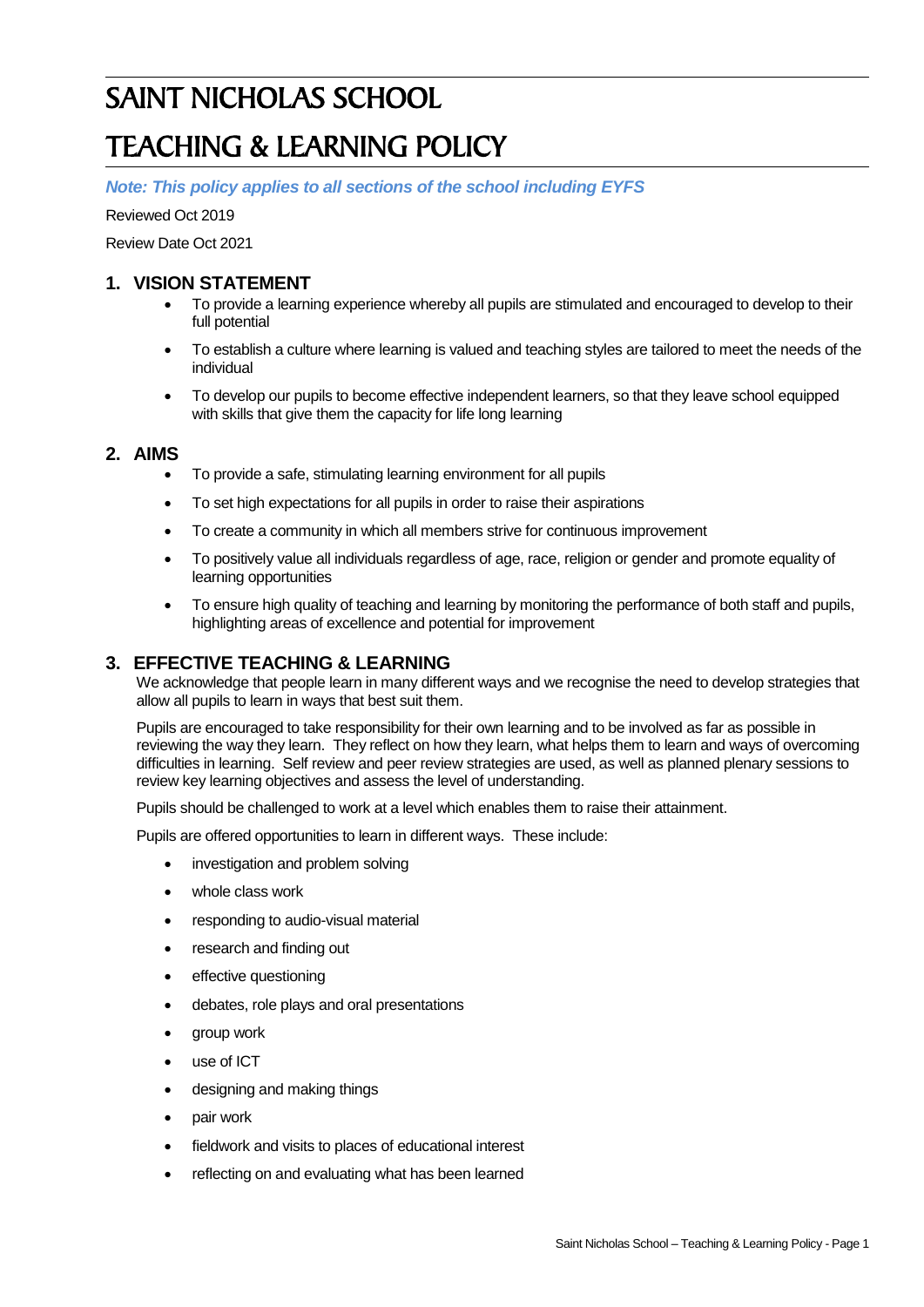# SAINT NICHOLAS SCHOOL TEACHING & LEARNING POLICY

*Note: This policy applies to all sections of the school including EYFS*

Reviewed Oct 2019

Review Date Oct 2021

## **1. VISION STATEMENT**

- To provide a learning experience whereby all pupils are stimulated and encouraged to develop to their full potential
- To establish a culture where learning is valued and teaching styles are tailored to meet the needs of the individual
- To develop our pupils to become effective independent learners, so that they leave school equipped with skills that give them the capacity for life long learning

#### **2. AIMS**

- To provide a safe, stimulating learning environment for all pupils
- To set high expectations for all pupils in order to raise their aspirations
- To create a community in which all members strive for continuous improvement
- To positively value all individuals regardless of age, race, religion or gender and promote equality of learning opportunities
- To ensure high quality of teaching and learning by monitoring the performance of both staff and pupils, highlighting areas of excellence and potential for improvement

## **3. EFFECTIVE TEACHING & LEARNING**

We acknowledge that people learn in many different ways and we recognise the need to develop strategies that allow all pupils to learn in ways that best suit them.

Pupils are encouraged to take responsibility for their own learning and to be involved as far as possible in reviewing the way they learn. They reflect on how they learn, what helps them to learn and ways of overcoming difficulties in learning. Self review and peer review strategies are used, as well as planned plenary sessions to review key learning objectives and assess the level of understanding.

Pupils should be challenged to work at a level which enables them to raise their attainment.

Pupils are offered opportunities to learn in different ways. These include:

- investigation and problem solving
- whole class work
- responding to audio-visual material
- research and finding out
- effective questioning
- debates, role plays and oral presentations
- group work
- use of ICT
- designing and making things
- pair work
- fieldwork and visits to places of educational interest
- reflecting on and evaluating what has been learned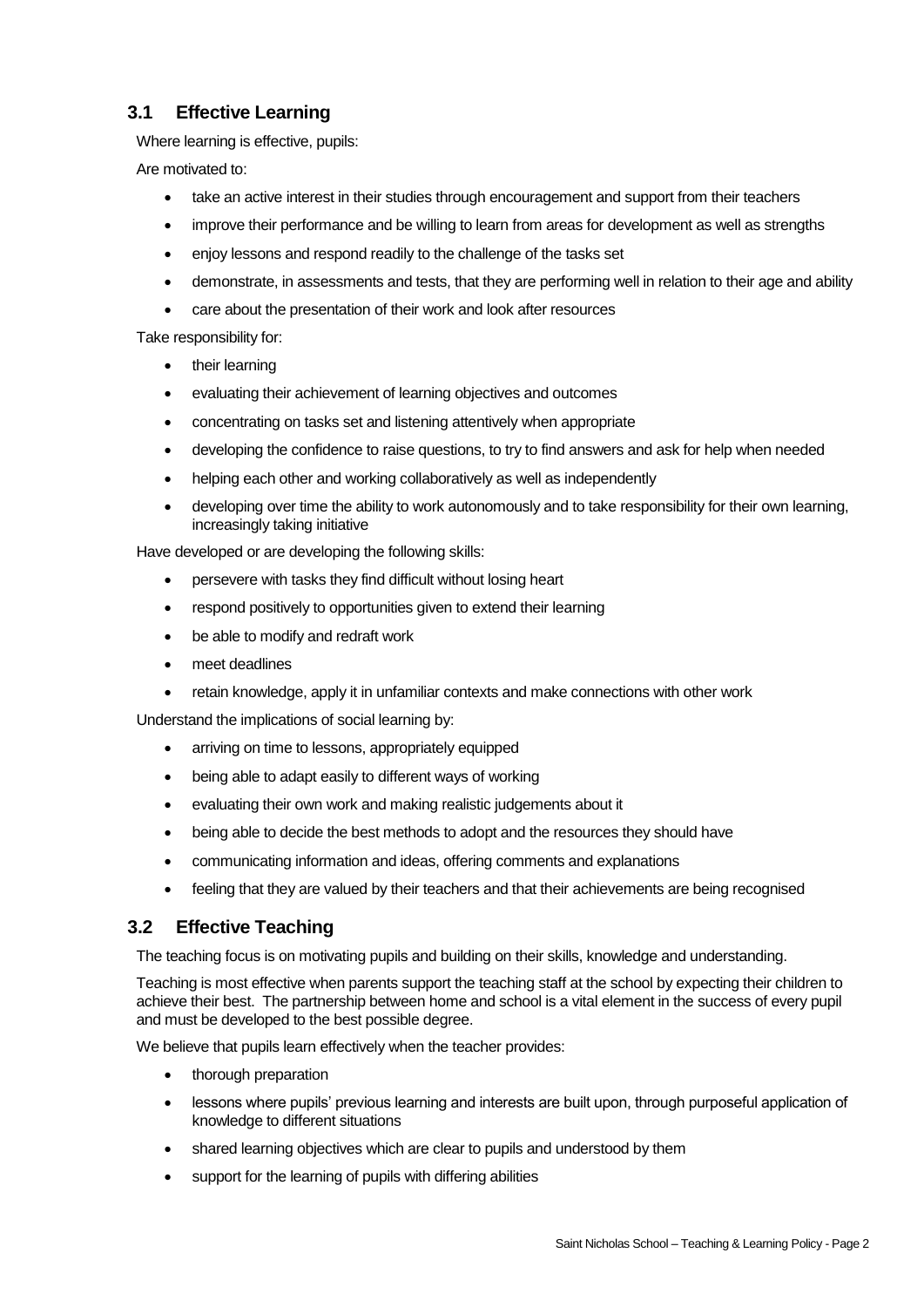# **3.1 Effective Learning**

Where learning is effective, pupils:

Are motivated to:

- take an active interest in their studies through encouragement and support from their teachers
- improve their performance and be willing to learn from areas for development as well as strengths
- enjoy lessons and respond readily to the challenge of the tasks set
- demonstrate, in assessments and tests, that they are performing well in relation to their age and ability
- care about the presentation of their work and look after resources

Take responsibility for:

- their learning
- evaluating their achievement of learning objectives and outcomes
- concentrating on tasks set and listening attentively when appropriate
- developing the confidence to raise questions, to try to find answers and ask for help when needed
- helping each other and working collaboratively as well as independently
- developing over time the ability to work autonomously and to take responsibility for their own learning, increasingly taking initiative

Have developed or are developing the following skills:

- persevere with tasks they find difficult without losing heart
- respond positively to opportunities given to extend their learning
- be able to modify and redraft work
- meet deadlines
- retain knowledge, apply it in unfamiliar contexts and make connections with other work

Understand the implications of social learning by:

- arriving on time to lessons, appropriately equipped
- being able to adapt easily to different ways of working
- evaluating their own work and making realistic judgements about it
- being able to decide the best methods to adopt and the resources they should have
- communicating information and ideas, offering comments and explanations
- feeling that they are valued by their teachers and that their achievements are being recognised

# **3.2 Effective Teaching**

The teaching focus is on motivating pupils and building on their skills, knowledge and understanding.

Teaching is most effective when parents support the teaching staff at the school by expecting their children to achieve their best. The partnership between home and school is a vital element in the success of every pupil and must be developed to the best possible degree.

We believe that pupils learn effectively when the teacher provides:

- thorough preparation
- lessons where pupils' previous learning and interests are built upon, through purposeful application of knowledge to different situations
- shared learning objectives which are clear to pupils and understood by them
- support for the learning of pupils with differing abilities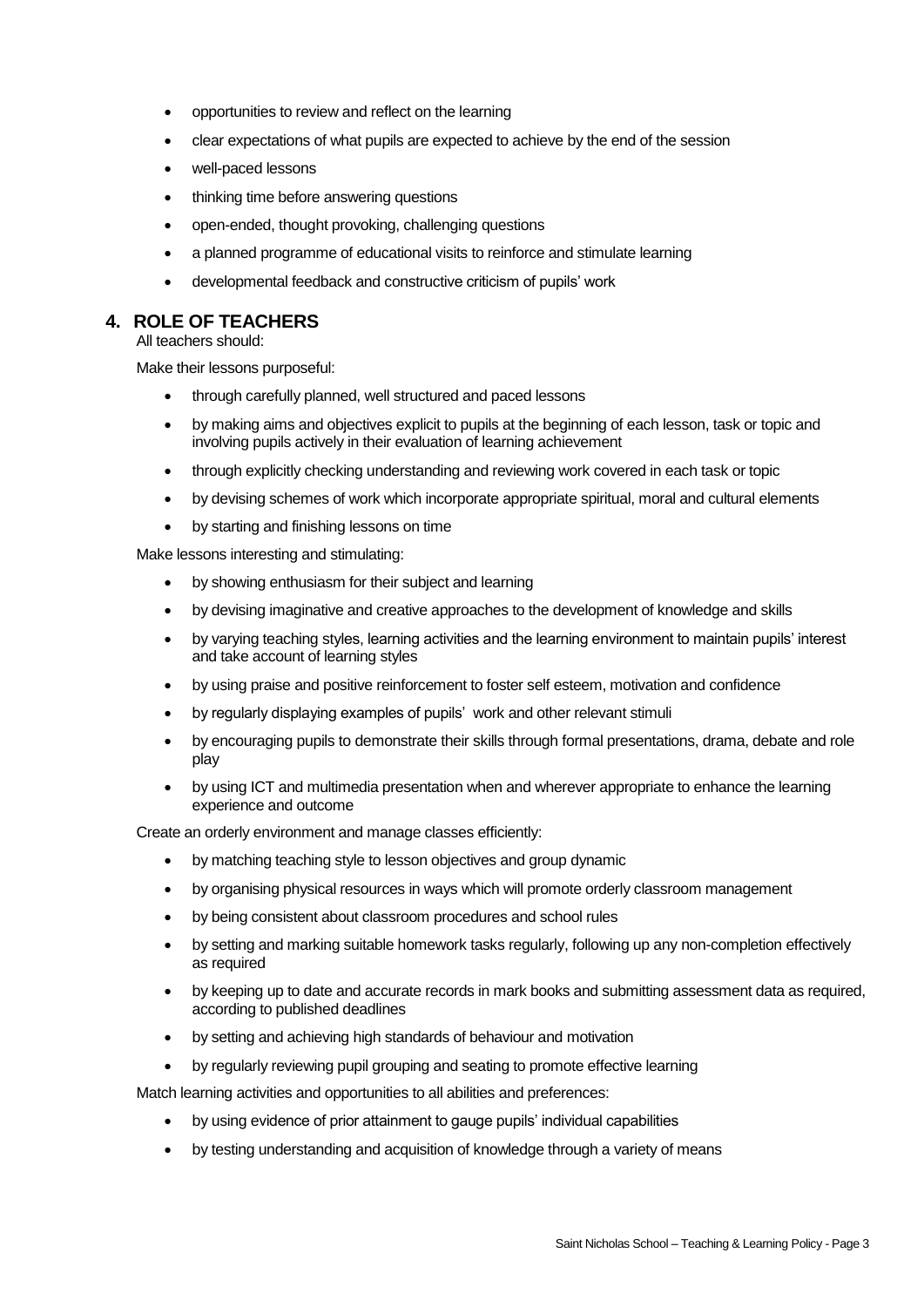- opportunities to review and reflect on the learning
- clear expectations of what pupils are expected to achieve by the end of the session
- well-paced lessons
- thinking time before answering questions
- open-ended, thought provoking, challenging questions
- a planned programme of educational visits to reinforce and stimulate learning
- developmental feedback and constructive criticism of pupils' work

## **4. ROLE OF TEACHERS**

All teachers should:

Make their lessons purposeful:

- through carefully planned, well structured and paced lessons
- by making aims and objectives explicit to pupils at the beginning of each lesson, task or topic and involving pupils actively in their evaluation of learning achievement
- through explicitly checking understanding and reviewing work covered in each task or topic
- by devising schemes of work which incorporate appropriate spiritual, moral and cultural elements
- by starting and finishing lessons on time

Make lessons interesting and stimulating:

- by showing enthusiasm for their subject and learning
- by devising imaginative and creative approaches to the development of knowledge and skills
- by varying teaching styles, learning activities and the learning environment to maintain pupils' interest and take account of learning styles
- by using praise and positive reinforcement to foster self esteem, motivation and confidence
- by regularly displaying examples of pupils' work and other relevant stimuli
- by encouraging pupils to demonstrate their skills through formal presentations, drama, debate and role play
- by using ICT and multimedia presentation when and wherever appropriate to enhance the learning experience and outcome

Create an orderly environment and manage classes efficiently:

- by matching teaching style to lesson objectives and group dynamic
- by organising physical resources in ways which will promote orderly classroom management
- by being consistent about classroom procedures and school rules
- by setting and marking suitable homework tasks regularly, following up any non-completion effectively as required
- by keeping up to date and accurate records in mark books and submitting assessment data as required, according to published deadlines
- by setting and achieving high standards of behaviour and motivation
- by regularly reviewing pupil grouping and seating to promote effective learning

Match learning activities and opportunities to all abilities and preferences:

- by using evidence of prior attainment to gauge pupils' individual capabilities
- by testing understanding and acquisition of knowledge through a variety of means